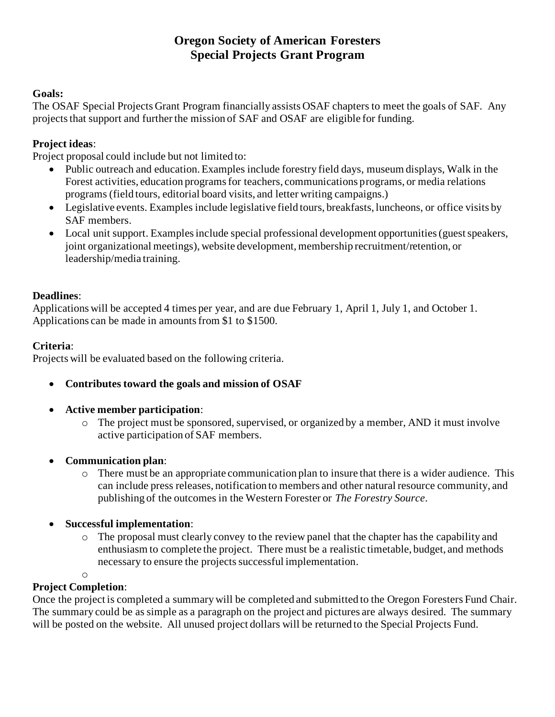# **Oregon Society of American Foresters Special Projects Grant Program**

#### **Goals:**

The OSAF Special Projects Grant Program financially assists OSAF chapters to meet the goals of SAF. Any projects that support and further the mission of SAF and OSAF are eligible for funding.

### **Project ideas**:

Project proposal could include but not limited to:

- Public outreach and education. Examples include forestry field days, museum displays, Walk in the Forest activities, education programs for teachers, communications programs, or media relations programs (field tours, editorial board visits, and letter writing campaigns.)
- Legislative events. Examples include legislative field tours, breakfasts, luncheons, or office visits by SAF members.
- Local unit support. Examples include special professional development opportunities (guest speakers, joint organizational meetings), website development, membership recruitment/retention, or leadership/media training.

#### **Deadlines**:

Applications will be accepted 4 times per year, and are due February 1, April 1, July 1, and October 1. Applications can be made in amounts from \$1 to \$1500.

#### **Criteria**:

Projects will be evaluated based on the following criteria.

- **Contributes toward the goals and mission of OSAF**
- **Active member participation**:
	- o The project must be sponsored, supervised, or organized by a member, AND it must involve active participation of SAF members.
- **Communication plan**:
	- o There must be an appropriate communication plan to insure that there is a wider audience. This can include press releases, notification to members and other natural resource community, and publishing of the outcomes in the Western Forester or *The Forestry Source*.
- **Successful implementation**:
	- o The proposal must clearly convey to the review panel that the chapter has the capability and enthusiasm to complete the project. There must be a realistic timetable, budget, and methods necessary to ensure the projects successful implementation.

#### o

### **Project Completion**:

Once the project is completed a summary will be completed and submitted to the Oregon Foresters Fund Chair. The summary could be as simple as a paragraph on the project and pictures are always desired. The summary will be posted on the website. All unused project dollars will be returned to the Special Projects Fund.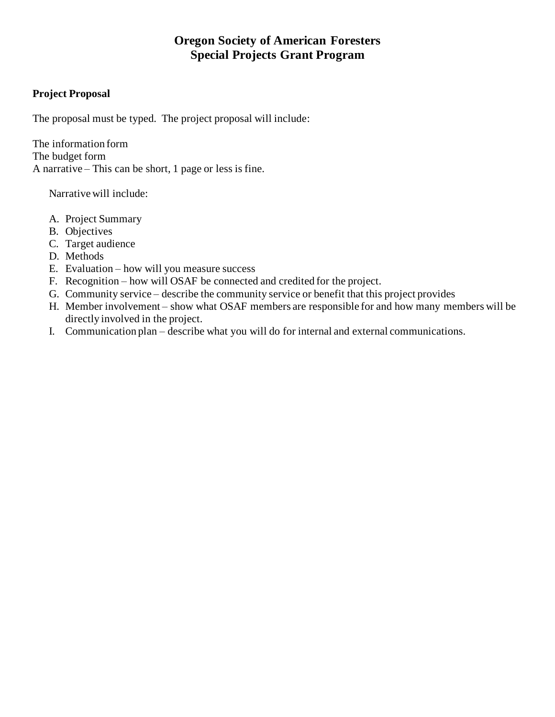# **Oregon Society of American Foresters Special Projects Grant Program**

#### **Project Proposal**

The proposal must be typed. The project proposal will include:

The information form The budget form A narrative – This can be short, 1 page or less is fine.

Narrative will include:

- A. Project Summary
- B. Objectives
- C. Target audience
- D. Methods
- E. Evaluation how will you measure success
- F. Recognition how will OSAF be connected and credited for the project.
- G. Community service describe the community service or benefit that this project provides
- H. Member involvement show what OSAF members are responsible for and how many members will be directly involved in the project.
- I. Communication plan describe what you will do for internal and external communications.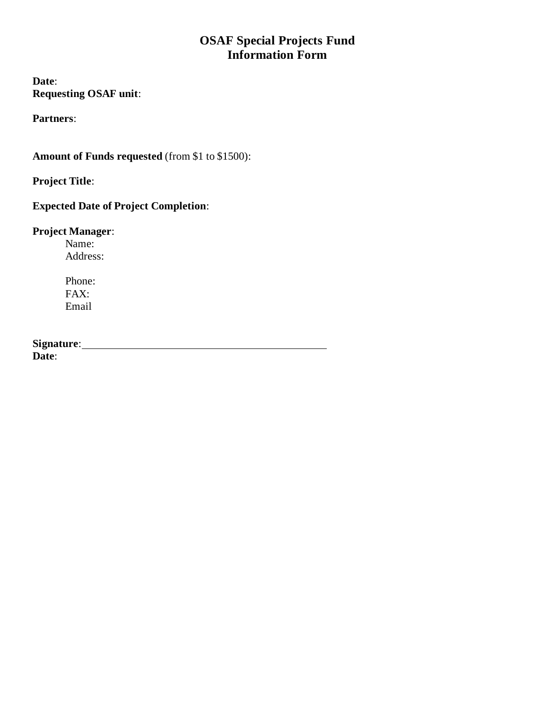# **OSAF Special Projects Fund Information Form**

**Date**: **Requesting OSAF unit**:

**Partners**:

**Amount of Funds requested** (from \$1 to \$1500):

**Project Title**:

# **Expected Date of Project Completion**:

## **Project Manager**:

Name: Address:

Phone: FAX: Email

Signature: <u>Constantine and Signature:</u> Constantine and Signature: Constantine and Signature: Constantine and Signature: Constantine and Signature: Constantine and Signature: Constantine and Signature: Constantine and Sign **Date**: